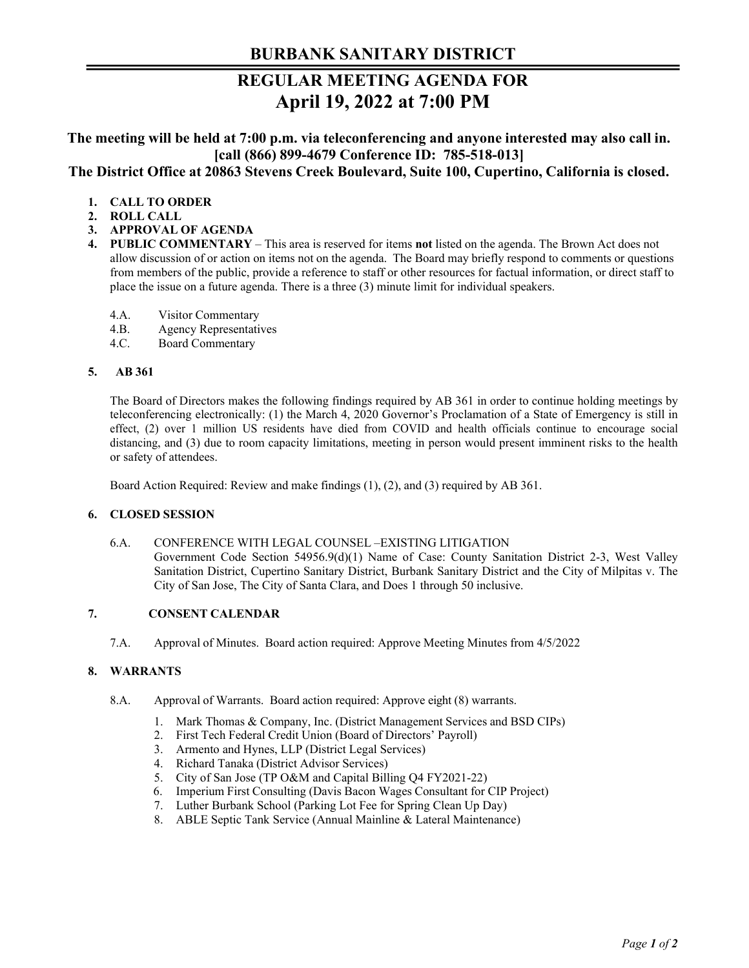# **BURBANK SANITARY DISTRICT**

# **REGULAR MEETING AGENDA FOR April 19, 2022 at 7:00 PM**

**The meeting will be held at 7:00 p.m. via teleconferencing and anyone interested may also call in. [call (866) 899-4679 Conference ID: 785-518-013] The District Office at 20863 Stevens Creek Boulevard, Suite 100, Cupertino, California is closed.** 

# **1. CALL TO ORDER**

- **2. ROLL CALL**
- **3. APPROVAL OF AGENDA**
- **4. PUBLIC COMMENTARY**  This area is reserved for items **not** listed on the agenda. The Brown Act does not allow discussion of or action on items not on the agenda. The Board may briefly respond to comments or questions from members of the public, provide a reference to staff or other resources for factual information, or direct staff to place the issue on a future agenda. There is a three (3) minute limit for individual speakers.
	- 4.A. Visitor Commentary
	- 4.B. Agency Representatives
	- 4.C. Board Commentary

#### **5. AB 361**

The Board of Directors makes the following findings required by AB 361 in order to continue holding meetings by teleconferencing electronically: (1) the March 4, 2020 Governor's Proclamation of a State of Emergency is still in effect, (2) over 1 million US residents have died from COVID and health officials continue to encourage social distancing, and (3) due to room capacity limitations, meeting in person would present imminent risks to the health or safety of attendees.

Board Action Required: Review and make findings (1), (2), and (3) required by AB 361.

## **6. CLOSED SESSION**

6.A. CONFERENCE WITH LEGAL COUNSEL –EXISTING LITIGATION Government Code Section 54956.9(d)(1) Name of Case: County Sanitation District 2-3, West Valley Sanitation District, Cupertino Sanitary District, Burbank Sanitary District and the City of Milpitas v. The City of San Jose, The City of Santa Clara, and Does 1 through 50 inclusive.

## **7. CONSENT CALENDAR**

7.A. Approval of Minutes. Board action required: Approve Meeting Minutes from 4/5/2022

## **8. WARRANTS**

- 8.A. Approval of Warrants. Board action required: Approve eight (8) warrants.
	- 1. Mark Thomas & Company, Inc. (District Management Services and BSD CIPs)
	- 2. First Tech Federal Credit Union (Board of Directors' Payroll)
	- 3. Armento and Hynes, LLP (District Legal Services)
	- 4. Richard Tanaka (District Advisor Services)
	- 5. City of San Jose (TP O&M and Capital Billing Q4 FY2021-22)
	- 6. Imperium First Consulting (Davis Bacon Wages Consultant for CIP Project)
	- 7. Luther Burbank School (Parking Lot Fee for Spring Clean Up Day)
	- 8. ABLE Septic Tank Service (Annual Mainline & Lateral Maintenance)